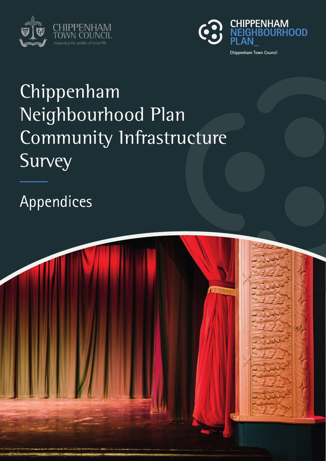



# Chippenham Neighbourhood Plan Community Infrastructure Survey

Appendices

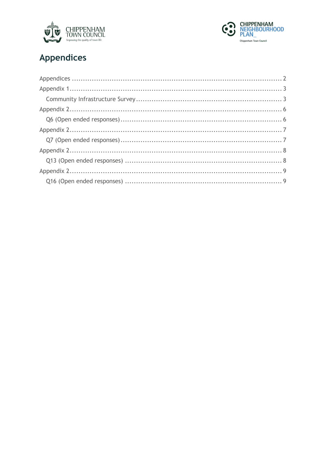



## Appendices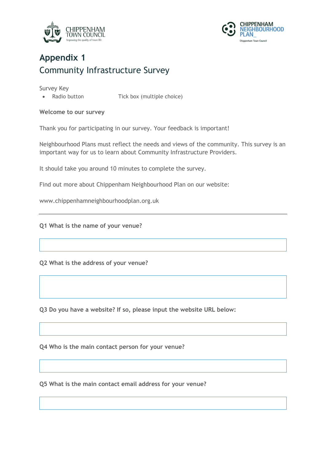



### **Appendix 1** Community Infrastructure Survey

Survey Key

• Radio button Tick box (multiple choice)

**Welcome to our survey**

Thank you for participating in our survey. Your feedback is important!

Neighbourhood Plans must reflect the needs and views of the community. This survey is an important way for us to learn about Community Infrastructure Providers.

It should take you around 10 minutes to complete the survey.

Find out more about Chippenham Neighbourhood Plan on our website:

www.chippenhamneighbourhoodplan.org.uk

**Q1 What is the name of your venue?**

**Q2 What is the address of your venue?**

**Q3 Do you have a website? If so, please input the website URL below:**

**Q4 Who is the main contact person for your venue?**

**Q5 What is the main contact email address for your venue?**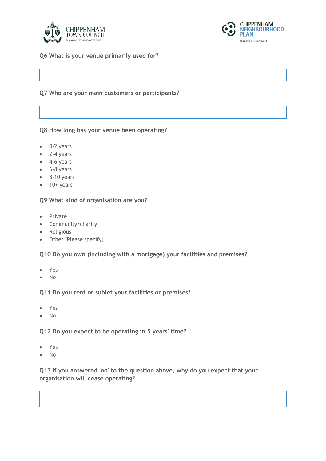



**Q6 What is your venue primarily used for?**

#### **Q7 Who are your main customers or participants?**

**Q8 How long has your venue been operating?**

- 0-2 years
- 2-4 years
- 4-6 years
- 6-8 years
- 8-10 years
- $\bullet$  10+ years

**Q9 What kind of organisation are you?**

- Private
- Community/charity
- Religious
- Other (Please specify)

**Q10 Do you own (including with a mortgage) your facilities and premises?**

- Yes
- No

**Q11 Do you rent or sublet your facilities or premises?**

- Yes
- No

**Q12 Do you expect to be operating in 5 years' time?**

- Yes
- No

**Q13 If you answered 'no' to the question above, why do you expect that your organisation will cease operating?**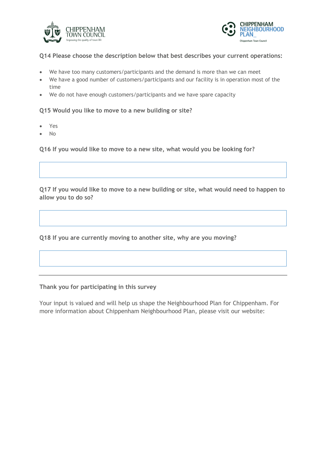



#### **Q14 Please choose the description below that best describes your current operations:**

- We have too many customers/participants and the demand is more than we can meet
- We have a good number of customers/participants and our facility is in operation most of the time
- We do not have enough customers/participants and we have spare capacity

#### **Q15 Would you like to move to a new building or site?**

- Yes
- No

**Q16 If you would like to move to a new site, what would you be looking for?**

**Q17 If you would like to move to a new building or site, what would need to happen to allow you to do so?**

**Q18 If you are currently moving to another site, why are you moving?**

**Thank you for participating in this survey**

Your input is valued and will help us shape the Neighbourhood Plan for Chippenham. For more information about Chippenham Neighbourhood Plan, please visit our website: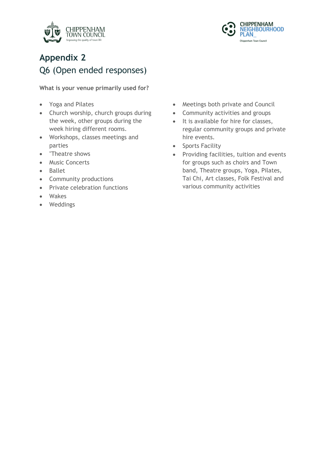



### **Appendix 2** Q6 (Open ended responses)

**What is your venue primarily used for?**

- Yoga and Pilates
- Church worship, church groups during the week, other groups during the week hiring different rooms.
- Workshops, classes meetings and parties
- "Theatre shows
- Music Concerts
- Ballet
- Community productions
- Private celebration functions
- Wakes
- Weddings
- Meetings both private and Council
- Community activities and groups
- It is available for hire for classes, regular community groups and private hire events.
- Sports Facility
- Providing facilities, tuition and events for groups such as choirs and Town band, Theatre groups, Yoga, Pilates, Tai Chi, Art classes, Folk Festival and various community activities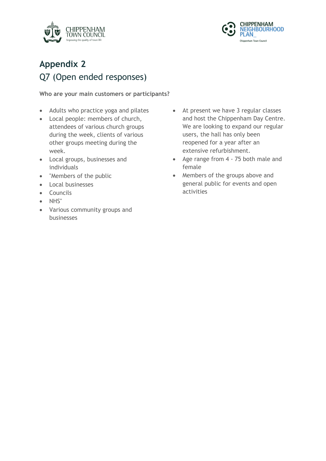



### **Appendix 2** Q7 (Open ended responses)

#### **Who are your main customers or participants?**

- Adults who practice yoga and pilates
- Local people: members of church, attendees of various church groups during the week, clients of various other groups meeting during the week.
- Local groups, businesses and individuals
- "Members of the public
- Local businesses
- Councils
- NHS"
- Various community groups and businesses
- At present we have 3 regular classes and host the Chippenham Day Centre. We are looking to expand our regular users, the hall has only been reopened for a year after an extensive refurbishment.
- Age range from 4 75 both male and female
- Members of the groups above and general public for events and open activities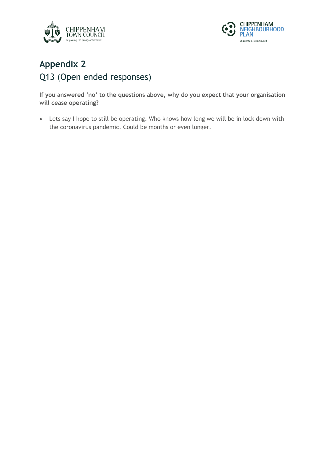



### **Appendix 2** Q13 (Open ended responses)

**If you answered 'no' to the questions above, why do you expect that your organisation will cease operating?**

• Lets say I hope to still be operating. Who knows how long we will be in lock down with the coronavirus pandemic. Could be months or even longer.